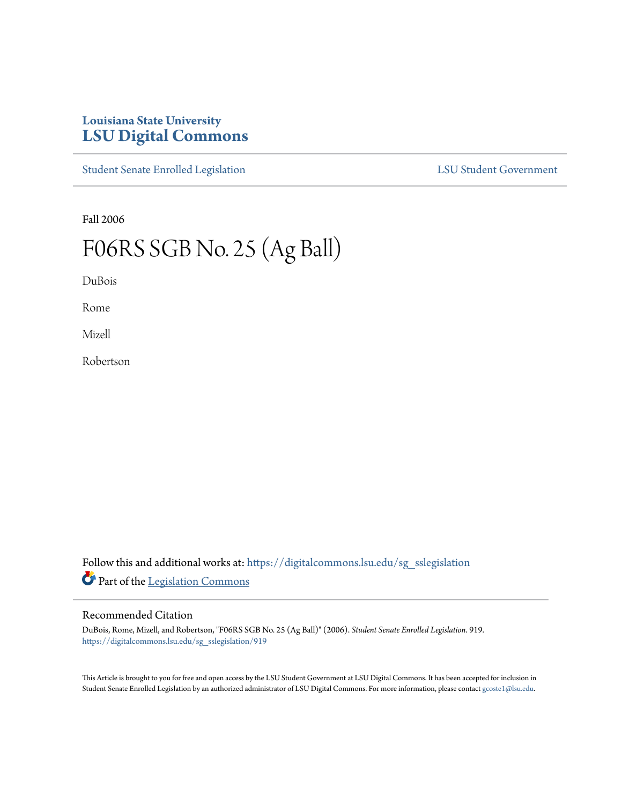## **Louisiana State University [LSU Digital Commons](https://digitalcommons.lsu.edu?utm_source=digitalcommons.lsu.edu%2Fsg_sslegislation%2F919&utm_medium=PDF&utm_campaign=PDFCoverPages)**

[Student Senate Enrolled Legislation](https://digitalcommons.lsu.edu/sg_sslegislation?utm_source=digitalcommons.lsu.edu%2Fsg_sslegislation%2F919&utm_medium=PDF&utm_campaign=PDFCoverPages) [LSU Student Government](https://digitalcommons.lsu.edu/sg?utm_source=digitalcommons.lsu.edu%2Fsg_sslegislation%2F919&utm_medium=PDF&utm_campaign=PDFCoverPages)

Fall 2006

## F06RS SGB No. 25 (Ag Ball)

DuBois

Rome

Mizell

Robertson

Follow this and additional works at: [https://digitalcommons.lsu.edu/sg\\_sslegislation](https://digitalcommons.lsu.edu/sg_sslegislation?utm_source=digitalcommons.lsu.edu%2Fsg_sslegislation%2F919&utm_medium=PDF&utm_campaign=PDFCoverPages) Part of the [Legislation Commons](http://network.bepress.com/hgg/discipline/859?utm_source=digitalcommons.lsu.edu%2Fsg_sslegislation%2F919&utm_medium=PDF&utm_campaign=PDFCoverPages)

## Recommended Citation

DuBois, Rome, Mizell, and Robertson, "F06RS SGB No. 25 (Ag Ball)" (2006). *Student Senate Enrolled Legislation*. 919. [https://digitalcommons.lsu.edu/sg\\_sslegislation/919](https://digitalcommons.lsu.edu/sg_sslegislation/919?utm_source=digitalcommons.lsu.edu%2Fsg_sslegislation%2F919&utm_medium=PDF&utm_campaign=PDFCoverPages)

This Article is brought to you for free and open access by the LSU Student Government at LSU Digital Commons. It has been accepted for inclusion in Student Senate Enrolled Legislation by an authorized administrator of LSU Digital Commons. For more information, please contact [gcoste1@lsu.edu.](mailto:gcoste1@lsu.edu)